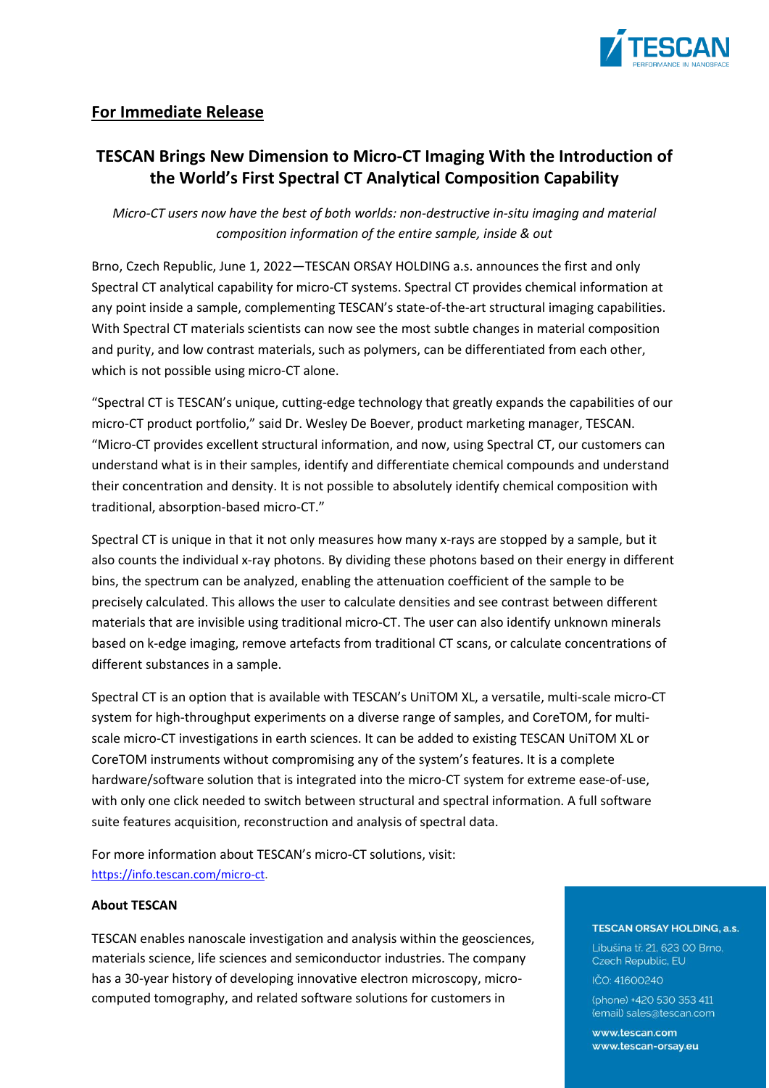

## **For Immediate Release**

# **TESCAN Brings New Dimension to Micro-CT Imaging With the Introduction of the World's First Spectral CT Analytical Composition Capability**

*Micro-CT users now have the best of both worlds: non-destructive in-situ imaging and material composition information of the entire sample, inside & out*

Brno, Czech Republic, June 1, 2022―TESCAN ORSAY HOLDING a.s. announces the first and only Spectral CT analytical capability for micro-CT systems. Spectral CT provides chemical information at any point inside a sample, complementing TESCAN's state-of-the-art structural imaging capabilities. With Spectral CT materials scientists can now see the most subtle changes in material composition and purity, and low contrast materials, such as polymers, can be differentiated from each other, which is not possible using micro-CT alone.

"Spectral CT is TESCAN's unique, cutting-edge technology that greatly expands the capabilities of our micro-CT product portfolio," said Dr. Wesley De Boever, product marketing manager, TESCAN. "Micro-CT provides excellent structural information, and now, using Spectral CT, our customers can understand what is in their samples, identify and differentiate chemical compounds and understand their concentration and density. It is not possible to absolutely identify chemical composition with traditional, absorption-based micro-CT."

Spectral CT is unique in that it not only measures how many x-rays are stopped by a sample, but it also counts the individual x-ray photons. By dividing these photons based on their energy in different bins, the spectrum can be analyzed, enabling the attenuation coefficient of the sample to be precisely calculated. This allows the user to calculate densities and see contrast between different materials that are invisible using traditional micro-CT. The user can also identify unknown minerals based on k-edge imaging, remove artefacts from traditional CT scans, or calculate concentrations of different substances in a sample.

Spectral CT is an option that is available with TESCAN's UniTOM XL, a versatile, multi-scale micro-CT system for high-throughput experiments on a diverse range of samples, and CoreTOM, for multiscale micro-CT investigations in earth sciences. It can be added to existing TESCAN UniTOM XL or CoreTOM instruments without compromising any of the system's features. It is a complete hardware/software solution that is integrated into the micro-CT system for extreme ease-of-use, with only one click needed to switch between structural and spectral information. A full software suite features acquisition, reconstruction and analysis of spectral data.

For more information about TESCAN's micro-CT solutions, visit: [https://info.tescan.com/micro-ct.](https://info.tescan.com/micro-ct)

## **About TESCAN**

TESCAN enables nanoscale investigation and analysis within the geosciences, materials science, life sciences and semiconductor industries. The company has a 30-year history of developing innovative electron microscopy, microcomputed tomography, and related software solutions for customers in

### **TESCAN ORSAY HOLDING, a.s.**

Libušina tř. 21. 623 00 Brno. Czech Republic, EU IČO: 41600240

(phone) +420 530 353 411 (email) sales@tescan.com

www.tescan.com www.tescan-orsav.eu